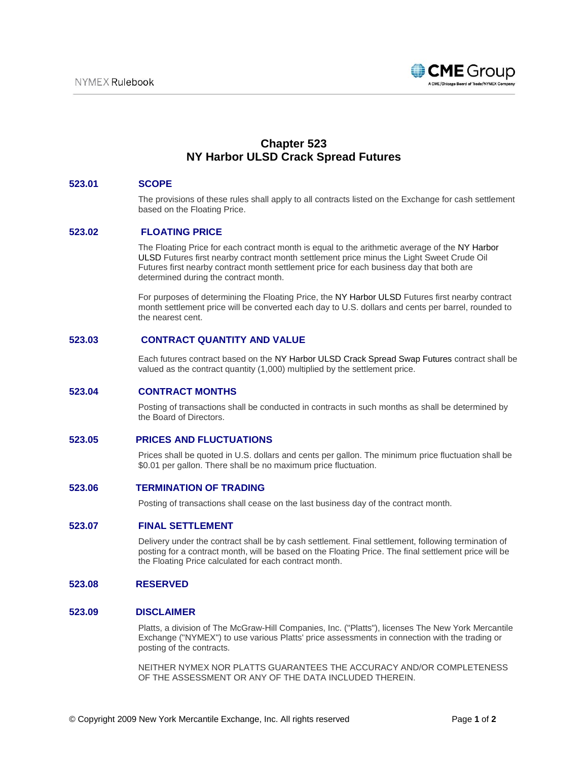

# **Chapter 523 NY Harbor ULSD Crack Spread Futures**

## **523.01 SCOPE**

The provisions of these rules shall apply to all contracts listed on the Exchange for cash settlement based on the Floating Price.

# **523.02 FLOATING PRICE**

The Floating Price for each contract month is equal to the arithmetic average of the NY Harbor ULSD Futures first nearby contract month settlement price minus the Light Sweet Crude Oil Futures first nearby contract month settlement price for each business day that both are determined during the contract month.

For purposes of determining the Floating Price, the NY Harbor ULSD Futures first nearby contract month settlement price will be converted each day to U.S. dollars and cents per barrel, rounded to the nearest cent.

## **523.03 CONTRACT QUANTITY AND VALUE**

Each futures contract based on the NY Harbor ULSD Crack Spread Swap Futures contract shall be valued as the contract quantity (1,000) multiplied by the settlement price.

## **523.04 CONTRACT MONTHS**

Posting of transactions shall be conducted in contracts in such months as shall be determined by the Board of Directors.

#### **523.05 PRICES AND FLUCTUATIONS**

Prices shall be quoted in U.S. dollars and cents per gallon. The minimum price fluctuation shall be \$0.01 per gallon. There shall be no maximum price fluctuation.

## **523.06 TERMINATION OF TRADING**

Posting of transactions shall cease on the last business day of the contract month.

## **523.07 FINAL SETTLEMENT**

Delivery under the contract shall be by cash settlement. Final settlement, following termination of posting for a contract month, will be based on the Floating Price. The final settlement price will be the Floating Price calculated for each contract month.

#### **523.08 RESERVED**

# **523.09 DISCLAIMER**

Platts, a division of The McGraw-Hill Companies, Inc. ("Platts"), licenses The New York Mercantile Exchange ("NYMEX") to use various Platts' price assessments in connection with the trading or posting of the contracts.

NEITHER NYMEX NOR PLATTS GUARANTEES THE ACCURACY AND/OR COMPLETENESS OF THE ASSESSMENT OR ANY OF THE DATA INCLUDED THEREIN.